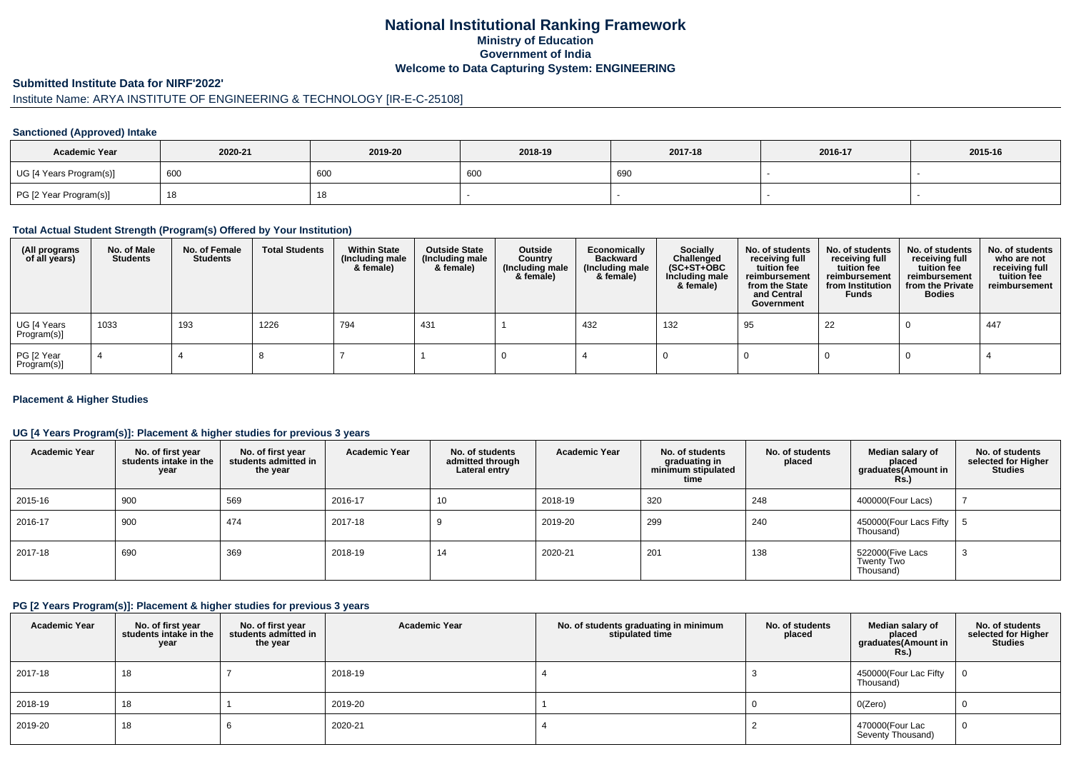### **National Institutional Ranking FrameworkMinistry of Education Government of IndiaWelcome to Data Capturing System: ENGINEERING**

#### **Submitted Institute Data for NIRF'2022'**

# Institute Name: ARYA INSTITUTE OF ENGINEERING & TECHNOLOGY [IR-E-C-25108]

#### **Sanctioned (Approved) Intake**

| <b>Academic Year</b>    | 2020-21  | 2019-20    | 2018-19 | 2017-18 | 2016-17 | 2015-16 |
|-------------------------|----------|------------|---------|---------|---------|---------|
| UG [4 Years Program(s)] | $^1$ 600 | 600        | 600     | 690     |         |         |
| PG [2 Year Program(s)]  |          | 4 C<br>10. |         |         |         |         |

## **Total Actual Student Strength (Program(s) Offered by Your Institution)**

| (All programs<br>of all years) | No. of Male<br><b>Students</b> | No. of Female<br>Students | <b>Total Students</b> | <b>Within State</b><br>(Including male<br>& female) | <b>Outside State</b><br>(Including male<br>& female) | Outside<br>Country<br>(Including male<br>& female) | Economically<br><b>Backward</b><br>(Including male<br>& female) | <b>Socially</b><br>Challenged<br>$(SC+ST+OBC)$<br>Including male<br>& female) | No. of students<br>receiving full<br>tuition fee<br>reimbursement<br>from the State<br>and Central<br>Government | No. of students<br>receiving full<br>tuition fee<br>reimbursement<br>from Institution<br><b>Funds</b> | No. of students<br>receiving full<br>tuition fee<br>reimbursement<br>from the Private<br><b>Bodies</b> | No. of students<br>who are not<br>receiving full<br>tuition fee<br>reimbursement |
|--------------------------------|--------------------------------|---------------------------|-----------------------|-----------------------------------------------------|------------------------------------------------------|----------------------------------------------------|-----------------------------------------------------------------|-------------------------------------------------------------------------------|------------------------------------------------------------------------------------------------------------------|-------------------------------------------------------------------------------------------------------|--------------------------------------------------------------------------------------------------------|----------------------------------------------------------------------------------|
| UG [4 Years<br>Program(s)]     | 1033                           | 193                       | 1226                  | 794                                                 | 431                                                  |                                                    | 432                                                             | 132                                                                           | 95                                                                                                               | 22                                                                                                    |                                                                                                        | 447                                                                              |
| PG [2 Year<br>Program(s)]      |                                |                           |                       |                                                     |                                                      |                                                    |                                                                 |                                                                               |                                                                                                                  |                                                                                                       |                                                                                                        |                                                                                  |

#### **Placement & Higher Studies**

#### **UG [4 Years Program(s)]: Placement & higher studies for previous 3 years**

| <b>Academic Year</b> | No. of first year<br>students intake in the<br>year | No. of first year<br>students admitted in<br>the year | <b>Academic Year</b> | No. of students<br>admitted through<br>Lateral entry | <b>Academic Year</b> | No. of students<br>graduating in<br>minimum stipulated<br>time | No. of students<br>placed | Median salary of<br>placed<br>graduates(Amount in<br>Rs.) | No. of students<br>selected for Higher<br><b>Studies</b> |
|----------------------|-----------------------------------------------------|-------------------------------------------------------|----------------------|------------------------------------------------------|----------------------|----------------------------------------------------------------|---------------------------|-----------------------------------------------------------|----------------------------------------------------------|
| 2015-16              | 900                                                 | 569                                                   | 2016-17              | 10                                                   | 2018-19              | 320                                                            | 248                       | 400000(Four Lacs)                                         |                                                          |
| 2016-17              | 900                                                 | 474                                                   | 2017-18              |                                                      | 2019-20              | 299                                                            | 240                       | 450000 (Four Lacs Fifty<br>Thousand)                      |                                                          |
| 2017-18              | 690                                                 | 369                                                   | 2018-19              | 14                                                   | 2020-21              | 201                                                            | 138                       | 522000(Five Lacs<br>Twenty Two<br>Thousand)               | ۰J                                                       |

#### **PG [2 Years Program(s)]: Placement & higher studies for previous 3 years**

| <b>Academic Year</b> | No. of first year<br>students intake in the<br>year | No. of first year<br>students admitted in<br>the year | <b>Academic Year</b> | No. of students graduating in minimum<br>stipulated time | No. of students<br>placed | Median salary of<br>placed<br>graduates(Amount in<br><b>Rs.</b> ) | No. of students<br>selected for Higher<br><b>Studies</b> |
|----------------------|-----------------------------------------------------|-------------------------------------------------------|----------------------|----------------------------------------------------------|---------------------------|-------------------------------------------------------------------|----------------------------------------------------------|
| 2017-18              | 18                                                  |                                                       | 2018-19              |                                                          |                           | 450000(Four Lac Fifty<br>Thousand)                                | $\Omega$                                                 |
| 2018-19              | 18                                                  |                                                       | 2019-20              |                                                          |                           | O(Zero)                                                           |                                                          |
| 2019-20              | 18                                                  |                                                       | 2020-21              |                                                          |                           | 470000(Four Lac<br>Seventy Thousand)                              | 0                                                        |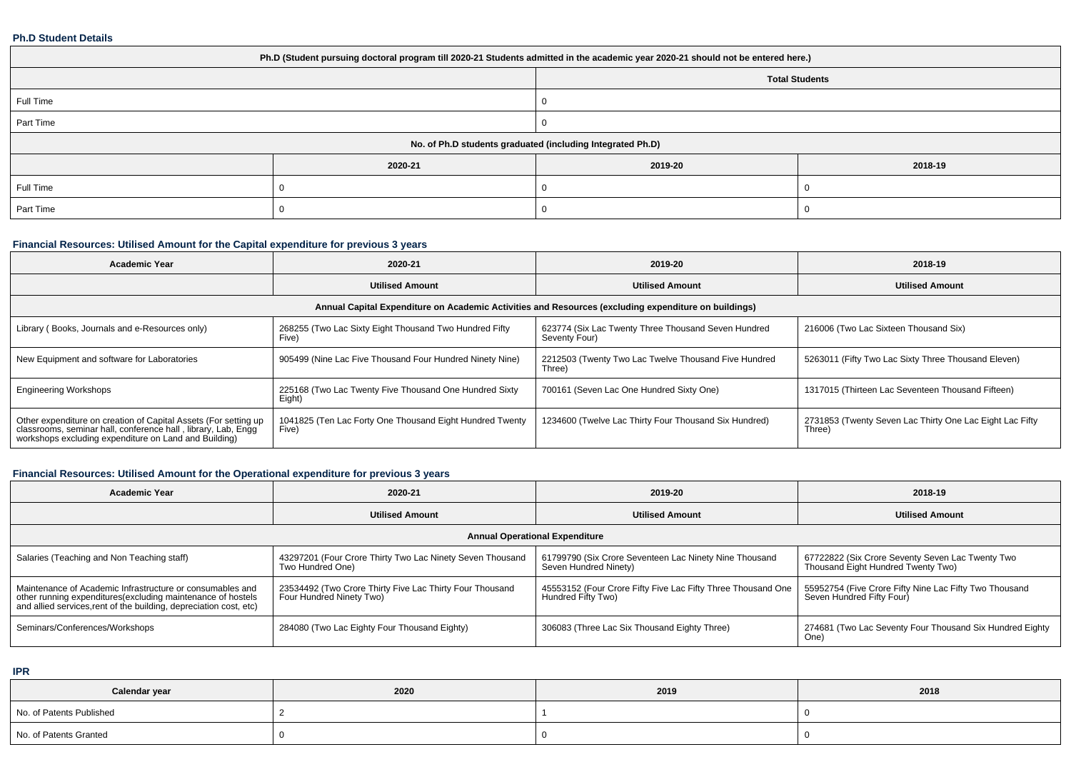#### **Ph.D Student Details**

| Ph.D (Student pursuing doctoral program till 2020-21 Students admitted in the academic year 2020-21 should not be entered here.) |         |         |         |  |  |  |
|----------------------------------------------------------------------------------------------------------------------------------|---------|---------|---------|--|--|--|
| <b>Total Students</b>                                                                                                            |         |         |         |  |  |  |
| Full Time                                                                                                                        |         |         |         |  |  |  |
| Part Time                                                                                                                        |         |         |         |  |  |  |
| No. of Ph.D students graduated (including Integrated Ph.D)                                                                       |         |         |         |  |  |  |
|                                                                                                                                  | 2020-21 | 2019-20 | 2018-19 |  |  |  |
| Full Time                                                                                                                        |         |         |         |  |  |  |
| Part Time                                                                                                                        |         |         |         |  |  |  |

## **Financial Resources: Utilised Amount for the Capital expenditure for previous 3 years**

| <b>Academic Year</b>                                                                                                                                                                      | 2020-21                                                                                              | 2019-20                                                              | 2018-19                                                            |  |  |  |  |  |  |  |
|-------------------------------------------------------------------------------------------------------------------------------------------------------------------------------------------|------------------------------------------------------------------------------------------------------|----------------------------------------------------------------------|--------------------------------------------------------------------|--|--|--|--|--|--|--|
|                                                                                                                                                                                           | <b>Utilised Amount</b>                                                                               | <b>Utilised Amount</b>                                               | <b>Utilised Amount</b>                                             |  |  |  |  |  |  |  |
|                                                                                                                                                                                           | Annual Capital Expenditure on Academic Activities and Resources (excluding expenditure on buildings) |                                                                      |                                                                    |  |  |  |  |  |  |  |
| Library (Books, Journals and e-Resources only)                                                                                                                                            | 268255 (Two Lac Sixty Eight Thousand Two Hundred Fifty<br>Five)                                      | 623774 (Six Lac Twenty Three Thousand Seven Hundred<br>Seventy Four) | 216006 (Two Lac Sixteen Thousand Six)                              |  |  |  |  |  |  |  |
| New Equipment and software for Laboratories                                                                                                                                               | 905499 (Nine Lac Five Thousand Four Hundred Ninety Nine)                                             | 2212503 (Twenty Two Lac Twelve Thousand Five Hundred<br>Three)       | 5263011 (Fifty Two Lac Sixty Three Thousand Eleven)                |  |  |  |  |  |  |  |
| <b>Engineering Workshops</b>                                                                                                                                                              | 225168 (Two Lac Twenty Five Thousand One Hundred Sixty<br>Eight)                                     | 700161 (Seven Lac One Hundred Sixty One)                             | 1317015 (Thirteen Lac Seventeen Thousand Fifteen)                  |  |  |  |  |  |  |  |
| Other expenditure on creation of Capital Assets (For setting up<br>classrooms, seminar hall, conference hall, library, Lab, Engg<br>workshops excluding expenditure on Land and Building) | 1041825 (Ten Lac Forty One Thousand Eight Hundred Twenty<br>Five)                                    | 1234600 (Twelve Lac Thirty Four Thousand Six Hundred)                | 2731853 (Twenty Seven Lac Thirty One Lac Eight Lac Fifty<br>Three) |  |  |  |  |  |  |  |

## **Financial Resources: Utilised Amount for the Operational expenditure for previous 3 years**

| <b>Academic Year</b>                                                                                                                                                                           | 2020-21                                                                              | 2019-20                                                                            | 2018-19                                                                                |  |  |  |  |  |
|------------------------------------------------------------------------------------------------------------------------------------------------------------------------------------------------|--------------------------------------------------------------------------------------|------------------------------------------------------------------------------------|----------------------------------------------------------------------------------------|--|--|--|--|--|
|                                                                                                                                                                                                | <b>Utilised Amount</b>                                                               | <b>Utilised Amount</b>                                                             | <b>Utilised Amount</b>                                                                 |  |  |  |  |  |
| <b>Annual Operational Expenditure</b>                                                                                                                                                          |                                                                                      |                                                                                    |                                                                                        |  |  |  |  |  |
| Salaries (Teaching and Non Teaching staff)                                                                                                                                                     | 43297201 (Four Crore Thirty Two Lac Ninety Seven Thousand<br>Two Hundred One)        | 61799790 (Six Crore Seventeen Lac Ninety Nine Thousand<br>Seven Hundred Ninety)    | 67722822 (Six Crore Seventy Seven Lac Twenty Two<br>Thousand Eight Hundred Twenty Two) |  |  |  |  |  |
| Maintenance of Academic Infrastructure or consumables and<br>other running expenditures(excluding maintenance of hostels<br>and allied services, rent of the building, depreciation cost, etc) | 23534492 (Two Crore Thirty Five Lac Thirty Four Thousand<br>Four Hundred Ninety Two) | 45553152 (Four Crore Fifty Five Lac Fifty Three Thousand One<br>Hundred Fifty Two) | 55952754 (Five Crore Fifty Nine Lac Fifty Two Thousand<br>Seven Hundred Fifty Four)    |  |  |  |  |  |
| Seminars/Conferences/Workshops                                                                                                                                                                 | 284080 (Two Lac Eighty Four Thousand Eighty)                                         | 306083 (Three Lac Six Thousand Eighty Three)                                       | 274681 (Two Lac Seventy Four Thousand Six Hundred Eighty<br>One)                       |  |  |  |  |  |

**IPR**

| Calendar year            | 2020 | 2019 | 2018 |
|--------------------------|------|------|------|
| No. of Patents Published |      |      |      |
| No. of Patents Granted   |      |      |      |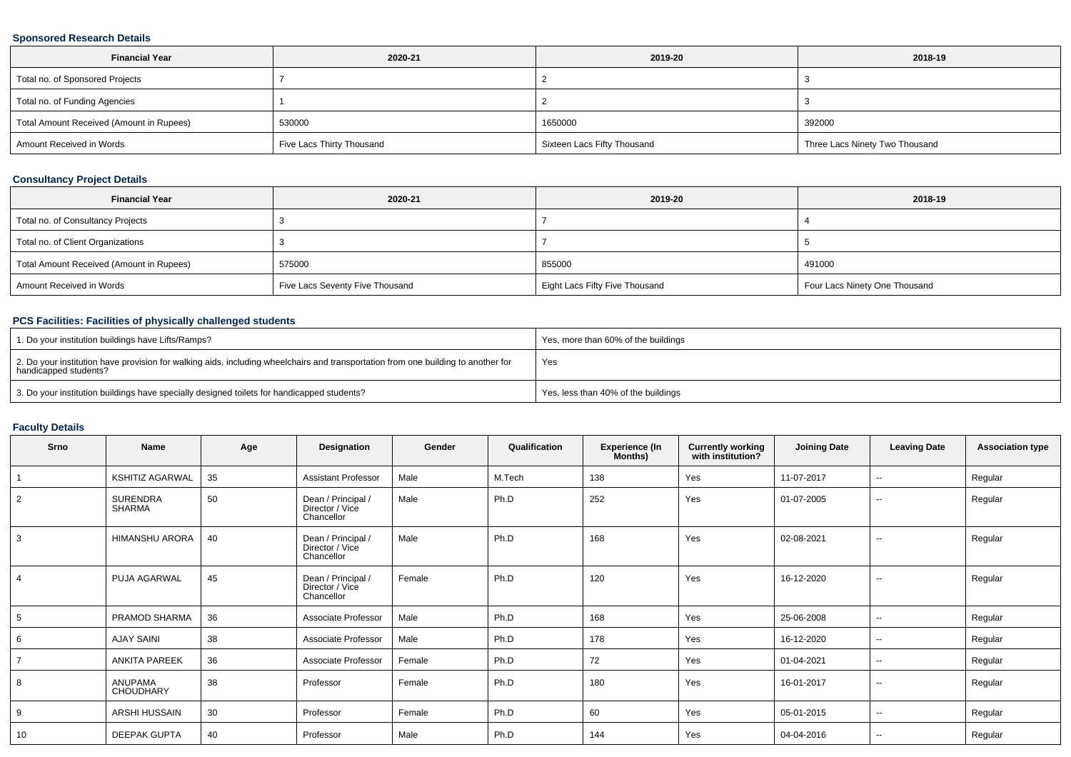### **Sponsored Research Details**

| <b>Financial Year</b>                    | 2020-21                   | 2019-20                     | 2018-19                        |
|------------------------------------------|---------------------------|-----------------------------|--------------------------------|
| Total no. of Sponsored Projects          |                           |                             |                                |
| Total no. of Funding Agencies            |                           |                             |                                |
| Total Amount Received (Amount in Rupees) | 530000                    | 1650000                     | 392000                         |
| Amount Received in Words                 | Five Lacs Thirty Thousand | Sixteen Lacs Fifty Thousand | Three Lacs Ninety Two Thousand |

### **Consultancy Project Details**

| <b>Financial Year</b>                    | 2020-21                         | 2019-20                        | 2018-19                       |
|------------------------------------------|---------------------------------|--------------------------------|-------------------------------|
| Total no. of Consultancy Projects        |                                 |                                |                               |
| Total no. of Client Organizations        |                                 |                                |                               |
| Total Amount Received (Amount in Rupees) | 575000                          | 855000                         | 491000                        |
| Amount Received in Words                 | Five Lacs Seventy Five Thousand | Eight Lacs Fifty Five Thousand | Four Lacs Ninety One Thousand |

## **PCS Facilities: Facilities of physically challenged students**

| 1. Do your institution buildings have Lifts/Ramps?                                                                                                         | Yes, more than 60% of the buildings |
|------------------------------------------------------------------------------------------------------------------------------------------------------------|-------------------------------------|
| 2. Do your institution have provision for walking aids, including wheelchairs and transportation from one building to another for<br>handicapped students? | Yes                                 |
| 3. Do your institution buildings have specially designed toilets for handicapped students?                                                                 | Yes, less than 40% of the buildings |

## **Faculty Details**

| Srno           | Name                             | Age | Designation                                         | Gender | Qualification | <b>Experience (In</b><br>Months) | <b>Currently working</b><br>with institution? | <b>Joining Date</b> | <b>Leaving Date</b>      | <b>Association type</b> |
|----------------|----------------------------------|-----|-----------------------------------------------------|--------|---------------|----------------------------------|-----------------------------------------------|---------------------|--------------------------|-------------------------|
|                | <b>KSHITIZ AGARWAL</b>           | 35  | <b>Assistant Professor</b>                          | Male   | M.Tech        | 138                              | Yes                                           | 11-07-2017          | $\sim$                   | Regular                 |
| $\overline{2}$ | <b>SURENDRA</b><br><b>SHARMA</b> | 50  | Dean / Principal /<br>Director / Vice<br>Chancellor | Male   | Ph.D          | 252                              | Yes                                           | 01-07-2005          | $\overline{\phantom{a}}$ | Regular                 |
| 3              | <b>HIMANSHU ARORA</b>            | 40  | Dean / Principal /<br>Director / Vice<br>Chancellor | Male   | Ph.D          | 168                              | Yes                                           | 02-08-2021          | $\sim$                   | Regular                 |
| $\overline{4}$ | PUJA AGARWAL                     | 45  | Dean / Principal /<br>Director / Vice<br>Chancellor | Female | Ph.D          | 120                              | Yes                                           | 16-12-2020          | $\sim$                   | Regular                 |
| 5              | PRAMOD SHARMA                    | 36  | Associate Professor                                 | Male   | Ph.D          | 168                              | Yes                                           | 25-06-2008          | $\sim$                   | Regular                 |
| 6              | <b>AJAY SAINI</b>                | 38  | Associate Professor                                 | Male   | Ph.D          | 178                              | Yes                                           | 16-12-2020          | $\sim$                   | Regular                 |
|                | <b>ANKITA PAREEK</b>             | 36  | Associate Professor                                 | Female | Ph.D          | 72                               | Yes                                           | 01-04-2021          | $\sim$                   | Regular                 |
| 8              | ANUPAMA<br><b>CHOUDHARY</b>      | 38  | Professor                                           | Female | Ph.D          | 180                              | Yes                                           | 16-01-2017          | $\sim$                   | Regular                 |
| 9              | ARSHI HUSSAIN                    | 30  | Professor                                           | Female | Ph.D          | 60                               | Yes                                           | 05-01-2015          | $\sim$                   | Regular                 |
| 10             | <b>DEEPAK GUPTA</b>              | 40  | Professor                                           | Male   | Ph.D          | 144                              | Yes                                           | 04-04-2016          | $\overline{\phantom{a}}$ | Regular                 |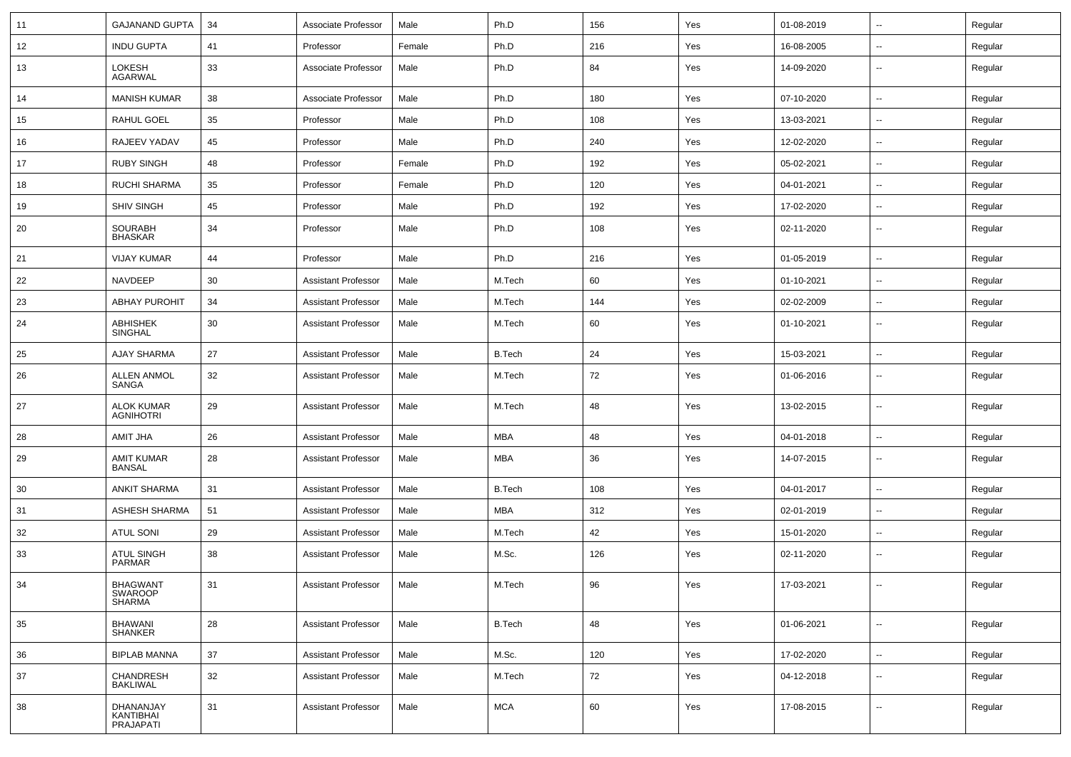| 11 | <b>GAJANAND GUPTA</b>                 | 34 | Associate Professor        | Male   | Ph.D          | 156 | Yes | 01-08-2019 | $\sim$                   | Regular |
|----|---------------------------------------|----|----------------------------|--------|---------------|-----|-----|------------|--------------------------|---------|
| 12 | <b>INDU GUPTA</b>                     | 41 | Professor                  | Female | Ph.D          | 216 | Yes | 16-08-2005 | $\sim$                   | Regular |
| 13 | LOKESH<br><b>AGARWAL</b>              | 33 | Associate Professor        | Male   | Ph.D          | 84  | Yes | 14-09-2020 | $\sim$                   | Regular |
| 14 | <b>MANISH KUMAR</b>                   | 38 | Associate Professor        | Male   | Ph.D          | 180 | Yes | 07-10-2020 | $\overline{\phantom{a}}$ | Regular |
| 15 | RAHUL GOEL                            | 35 | Professor                  | Male   | Ph.D          | 108 | Yes | 13-03-2021 |                          | Regular |
| 16 | RAJEEV YADAV                          | 45 | Professor                  | Male   | Ph.D          | 240 | Yes | 12-02-2020 | $\overline{\phantom{a}}$ | Regular |
| 17 | <b>RUBY SINGH</b>                     | 48 | Professor                  | Female | Ph.D          | 192 | Yes | 05-02-2021 | $\sim$                   | Regular |
| 18 | <b>RUCHI SHARMA</b>                   | 35 | Professor                  | Female | Ph.D          | 120 | Yes | 04-01-2021 | $\sim$                   | Regular |
| 19 | <b>SHIV SINGH</b>                     | 45 | Professor                  | Male   | Ph.D          | 192 | Yes | 17-02-2020 | $\sim$                   | Regular |
| 20 | <b>SOURABH</b><br><b>BHASKAR</b>      | 34 | Professor                  | Male   | Ph.D          | 108 | Yes | 02-11-2020 | $\sim$                   | Regular |
| 21 | <b>VIJAY KUMAR</b>                    | 44 | Professor                  | Male   | Ph.D          | 216 | Yes | 01-05-2019 | $\overline{\phantom{a}}$ | Regular |
| 22 | NAVDEEP                               | 30 | <b>Assistant Professor</b> | Male   | M.Tech        | 60  | Yes | 01-10-2021 |                          | Regular |
| 23 | <b>ABHAY PUROHIT</b>                  | 34 | <b>Assistant Professor</b> | Male   | M.Tech        | 144 | Yes | 02-02-2009 | $\overline{\phantom{a}}$ | Regular |
| 24 | <b>ABHISHEK</b><br>SINGHAL            | 30 | <b>Assistant Professor</b> | Male   | M.Tech        | 60  | Yes | 01-10-2021 | $\sim$                   | Regular |
| 25 | <b>AJAY SHARMA</b>                    | 27 | <b>Assistant Professor</b> | Male   | <b>B.Tech</b> | 24  | Yes | 15-03-2021 | $\sim$                   | Regular |
| 26 | <b>ALLEN ANMOL</b><br>SANGA           | 32 | <b>Assistant Professor</b> | Male   | M.Tech        | 72  | Yes | 01-06-2016 | $\sim$                   | Regular |
| 27 | <b>ALOK KUMAR</b><br><b>AGNIHOTRI</b> | 29 | <b>Assistant Professor</b> | Male   | M.Tech        | 48  | Yes | 13-02-2015 | $\sim$                   | Regular |
| 28 | AMIT JHA                              | 26 | <b>Assistant Professor</b> | Male   | <b>MBA</b>    | 48  | Yes | 04-01-2018 | $\sim$                   | Regular |
| 29 | <b>AMIT KUMAR</b><br><b>BANSAL</b>    | 28 | <b>Assistant Professor</b> | Male   | <b>MBA</b>    | 36  | Yes | 14-07-2015 | $\overline{\phantom{a}}$ | Regular |
| 30 | <b>ANKIT SHARMA</b>                   | 31 | <b>Assistant Professor</b> | Male   | <b>B.Tech</b> | 108 | Yes | 04-01-2017 | $\sim$                   | Regular |
| 31 | ASHESH SHARMA                         | 51 | <b>Assistant Professor</b> | Male   | MBA           | 312 | Yes | 02-01-2019 |                          | Regular |
| 32 | <b>ATUL SONI</b>                      | 29 | <b>Assistant Professor</b> | Male   | M.Tech        | 42  | Yes | 15-01-2020 | $\sim$                   | Regular |
| 33 | <b>ATUL SINGH</b><br><b>PARMAR</b>    | 38 | <b>Assistant Professor</b> | Male   | M.Sc.         | 126 | Yes | 02-11-2020 |                          | Regular |
| 34 | <b>BHAGWANT</b><br>SWAROOP<br>SHARMA  | 31 | Assistant Professor        | Male   | M.Tech        | 96  | Yes | 17-03-2021 |                          | Regular |
| 35 | BHAWANI<br>SHANKER                    | 28 | <b>Assistant Professor</b> | Male   | <b>B.Tech</b> | 48  | Yes | 01-06-2021 | $\overline{\phantom{a}}$ | Regular |
| 36 | <b>BIPLAB MANNA</b>                   | 37 | <b>Assistant Professor</b> | Male   | M.Sc.         | 120 | Yes | 17-02-2020 | $\overline{\phantom{a}}$ | Regular |
| 37 | CHANDRESH<br><b>BAKLIWAL</b>          | 32 | <b>Assistant Professor</b> | Male   | M.Tech        | 72  | Yes | 04-12-2018 | $\sim$                   | Regular |
| 38 | DHANANJAY<br>KANTIBHAI<br>PRAJAPATI   | 31 | <b>Assistant Professor</b> | Male   | <b>MCA</b>    | 60  | Yes | 17-08-2015 | $\sim$                   | Regular |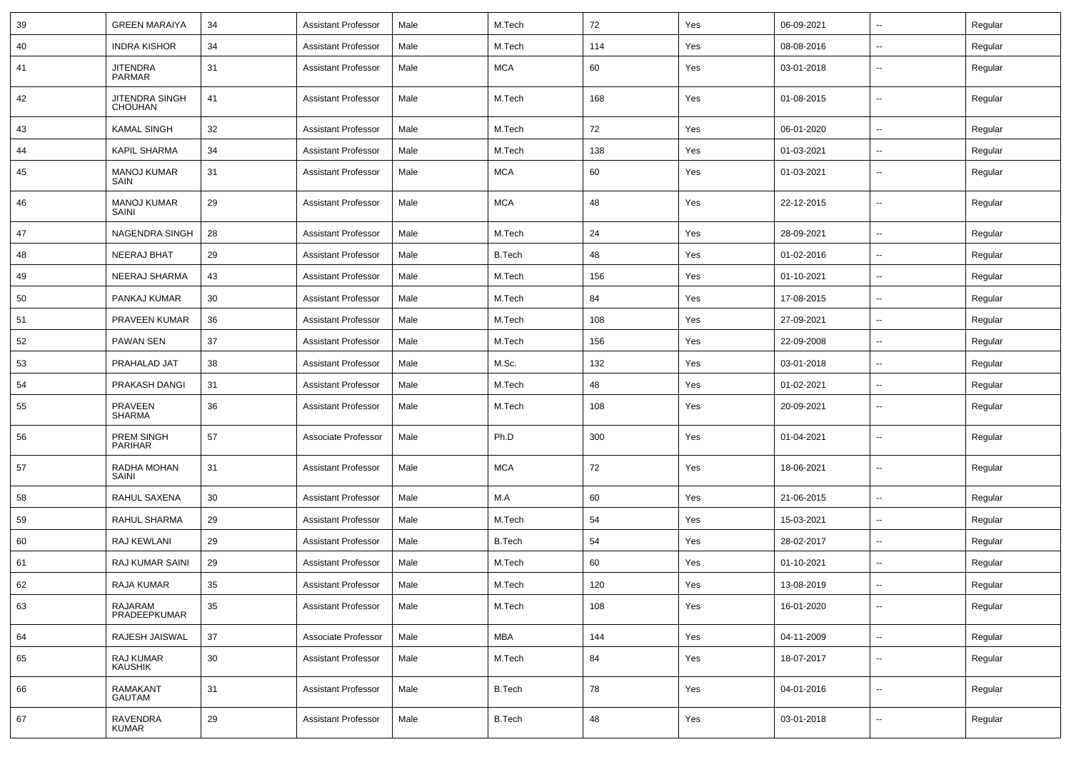| 39 | <b>GREEN MARAIYA</b>                | 34 | <b>Assistant Professor</b> | Male | M.Tech        | 72      | Yes | 06-09-2021 | ⊷.                       | Regular |
|----|-------------------------------------|----|----------------------------|------|---------------|---------|-----|------------|--------------------------|---------|
| 40 | <b>INDRA KISHOR</b>                 | 34 | <b>Assistant Professor</b> | Male | M.Tech        | 114     | Yes | 08-08-2016 | --                       | Regular |
| 41 | <b>JITENDRA</b><br><b>PARMAR</b>    | 31 | <b>Assistant Professor</b> | Male | <b>MCA</b>    | 60      | Yes | 03-01-2018 | $\overline{\phantom{a}}$ | Regular |
| 42 | JITENDRA SINGH<br><b>CHOUHAN</b>    | 41 | <b>Assistant Professor</b> | Male | M.Tech        | 168     | Yes | 01-08-2015 | $\overline{\phantom{a}}$ | Regular |
| 43 | <b>KAMAL SINGH</b>                  | 32 | <b>Assistant Professor</b> | Male | M.Tech        | 72      | Yes | 06-01-2020 | ⊷.                       | Regular |
| 44 | <b>KAPIL SHARMA</b>                 | 34 | <b>Assistant Professor</b> | Male | M.Tech        | 138     | Yes | 01-03-2021 | --                       | Regular |
| 45 | <b>MANOJ KUMAR</b><br>SAIN          | 31 | <b>Assistant Professor</b> | Male | <b>MCA</b>    | 60      | Yes | 01-03-2021 | --                       | Regular |
| 46 | <b>MANOJ KUMAR</b><br>SAINI         | 29 | <b>Assistant Professor</b> | Male | <b>MCA</b>    | 48      | Yes | 22-12-2015 | --                       | Regular |
| 47 | <b>NAGENDRA SINGH</b>               | 28 | <b>Assistant Professor</b> | Male | M.Tech        | 24      | Yes | 28-09-2021 | --                       | Regular |
| 48 | NEERAJ BHAT                         | 29 | <b>Assistant Professor</b> | Male | <b>B.Tech</b> | 48      | Yes | 01-02-2016 | $\overline{\phantom{a}}$ | Regular |
| 49 | NEERAJ SHARMA                       | 43 | <b>Assistant Professor</b> | Male | M.Tech        | 156     | Yes | 01-10-2021 | ⊷.                       | Regular |
| 50 | PANKAJ KUMAR                        | 30 | <b>Assistant Professor</b> | Male | M.Tech        | 84      | Yes | 17-08-2015 | н.                       | Regular |
| 51 | PRAVEEN KUMAR                       | 36 | <b>Assistant Professor</b> | Male | M.Tech        | 108     | Yes | 27-09-2021 | $\overline{\phantom{a}}$ | Regular |
| 52 | <b>PAWAN SEN</b>                    | 37 | <b>Assistant Professor</b> | Male | M.Tech        | 156     | Yes | 22-09-2008 | $\overline{\phantom{a}}$ | Regular |
| 53 | PRAHALAD JAT                        | 38 | <b>Assistant Professor</b> | Male | M.Sc.         | 132     | Yes | 03-01-2018 | --                       | Regular |
| 54 | PRAKASH DANGI                       | 31 | <b>Assistant Professor</b> | Male | M.Tech        | 48      | Yes | 01-02-2021 | $\overline{\phantom{a}}$ | Regular |
| 55 | <b>PRAVEEN</b><br><b>SHARMA</b>     | 36 | <b>Assistant Professor</b> | Male | M.Tech        | 108     | Yes | 20-09-2021 | $\overline{\phantom{a}}$ | Regular |
| 56 | <b>PREM SINGH</b><br><b>PARIHAR</b> | 57 | Associate Professor        | Male | Ph.D          | 300     | Yes | 01-04-2021 | $\overline{\phantom{a}}$ | Regular |
| 57 | RADHA MOHAN<br>SAINI                | 31 | <b>Assistant Professor</b> | Male | <b>MCA</b>    | 72      | Yes | 18-06-2021 | $\overline{\phantom{a}}$ | Regular |
| 58 | RAHUL SAXENA                        | 30 | <b>Assistant Professor</b> | Male | M.A           | 60      | Yes | 21-06-2015 | $\overline{\phantom{a}}$ | Regular |
| 59 | <b>RAHUL SHARMA</b>                 | 29 | <b>Assistant Professor</b> | Male | M.Tech        | 54      | Yes | 15-03-2021 | --                       | Regular |
| 60 | RAJ KEWLANI                         | 29 | <b>Assistant Professor</b> | Male | <b>B.Tech</b> | 54      | Yes | 28-02-2017 | --                       | Regular |
| 61 | RAJ KUMAR SAINI                     | 29 | <b>Assistant Professor</b> | Male | M.Tech        | 60      | Yes | 01-10-2021 | $\overline{\phantom{a}}$ | Regular |
| 62 | RAJA KUMAR                          | 35 | Assistant Professor        | Male | M.Tech        | $120\,$ | Yes | 13-08-2019 |                          | Regular |
| 63 | RAJARAM<br>PRADEEPKUMAR             | 35 | <b>Assistant Professor</b> | Male | M.Tech        | 108     | Yes | 16-01-2020 | н.                       | Regular |
| 64 | RAJESH JAISWAL                      | 37 | Associate Professor        | Male | <b>MBA</b>    | 144     | Yes | 04-11-2009 | $\overline{\phantom{a}}$ | Regular |
| 65 | RAJ KUMAR<br>KAUSHIK                | 30 | <b>Assistant Professor</b> | Male | M.Tech        | 84      | Yes | 18-07-2017 | $\overline{\phantom{a}}$ | Regular |
| 66 | RAMAKANT<br>GAUTAM                  | 31 | <b>Assistant Professor</b> | Male | <b>B.Tech</b> | 78      | Yes | 04-01-2016 | $\overline{\phantom{a}}$ | Regular |
| 67 | RAVENDRA<br>KUMAR                   | 29 | <b>Assistant Professor</b> | Male | <b>B.Tech</b> | 48      | Yes | 03-01-2018 | $\sim$                   | Regular |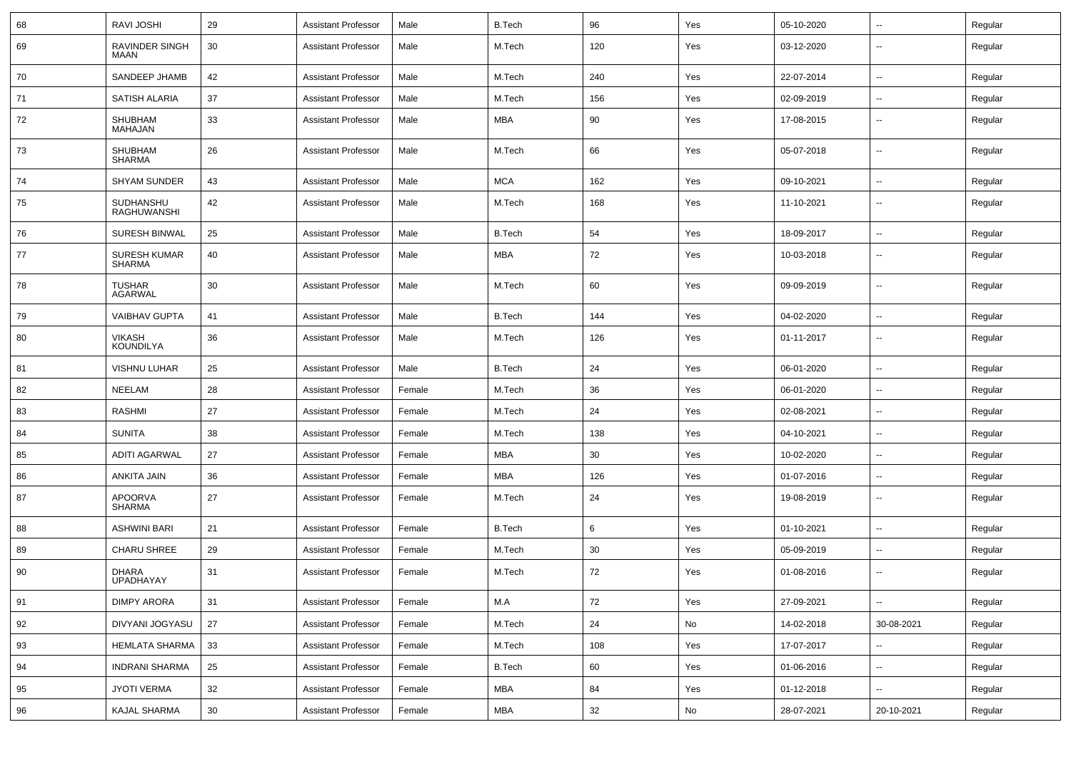| 68 | <b>RAVI JOSHI</b>                    | 29 | <b>Assistant Professor</b> | Male   | <b>B.Tech</b> | 96  | Yes | 05-10-2020 | ⊷.                       | Regular |
|----|--------------------------------------|----|----------------------------|--------|---------------|-----|-----|------------|--------------------------|---------|
| 69 | RAVINDER SINGH<br>MAAN               | 30 | <b>Assistant Professor</b> | Male   | M.Tech        | 120 | Yes | 03-12-2020 | --                       | Regular |
| 70 | SANDEEP JHAMB                        | 42 | <b>Assistant Professor</b> | Male   | M.Tech        | 240 | Yes | 22-07-2014 | $\overline{\phantom{a}}$ | Regular |
| 71 | <b>SATISH ALARIA</b>                 | 37 | <b>Assistant Professor</b> | Male   | M.Tech        | 156 | Yes | 02-09-2019 | --                       | Regular |
| 72 | SHUBHAM<br><b>MAHAJAN</b>            | 33 | <b>Assistant Professor</b> | Male   | MBA           | 90  | Yes | 17-08-2015 | -−                       | Regular |
| 73 | SHUBHAM<br><b>SHARMA</b>             | 26 | <b>Assistant Professor</b> | Male   | M.Tech        | 66  | Yes | 05-07-2018 | --                       | Regular |
| 74 | SHYAM SUNDER                         | 43 | <b>Assistant Professor</b> | Male   | <b>MCA</b>    | 162 | Yes | 09-10-2021 | --                       | Regular |
| 75 | SUDHANSHU<br><b>RAGHUWANSHI</b>      | 42 | <b>Assistant Professor</b> | Male   | M.Tech        | 168 | Yes | 11-10-2021 | --                       | Regular |
| 76 | <b>SURESH BINWAL</b>                 | 25 | <b>Assistant Professor</b> | Male   | <b>B.Tech</b> | 54  | Yes | 18-09-2017 | $\overline{\phantom{a}}$ | Regular |
| 77 | <b>SURESH KUMAR</b><br><b>SHARMA</b> | 40 | <b>Assistant Professor</b> | Male   | <b>MBA</b>    | 72  | Yes | 10-03-2018 | $\overline{\phantom{a}}$ | Regular |
| 78 | <b>TUSHAR</b><br>AGARWAL             | 30 | <b>Assistant Professor</b> | Male   | M.Tech        | 60  | Yes | 09-09-2019 | $\overline{\phantom{a}}$ | Regular |
| 79 | <b>VAIBHAV GUPTA</b>                 | 41 | <b>Assistant Professor</b> | Male   | <b>B.Tech</b> | 144 | Yes | 04-02-2020 | $\overline{\phantom{a}}$ | Regular |
| 80 | <b>VIKASH</b><br><b>KOUNDILYA</b>    | 36 | <b>Assistant Professor</b> | Male   | M.Tech        | 126 | Yes | 01-11-2017 | $\overline{\phantom{a}}$ | Regular |
| 81 | VISHNU LUHAR                         | 25 | <b>Assistant Professor</b> | Male   | <b>B.Tech</b> | 24  | Yes | 06-01-2020 | -−                       | Regular |
| 82 | NEELAM                               | 28 | <b>Assistant Professor</b> | Female | M.Tech        | 36  | Yes | 06-01-2020 | --                       | Regular |
| 83 | <b>RASHMI</b>                        | 27 | <b>Assistant Professor</b> | Female | M.Tech        | 24  | Yes | 02-08-2021 | --                       | Regular |
| 84 | <b>SUNITA</b>                        | 38 | <b>Assistant Professor</b> | Female | M.Tech        | 138 | Yes | 04-10-2021 | --                       | Regular |
| 85 | ADITI AGARWAL                        | 27 | <b>Assistant Professor</b> | Female | MBA           | 30  | Yes | 10-02-2020 | $\overline{\phantom{a}}$ | Regular |
| 86 | ANKITA JAIN                          | 36 | <b>Assistant Professor</b> | Female | <b>MBA</b>    | 126 | Yes | 01-07-2016 | $\overline{\phantom{a}}$ | Regular |
| 87 | APOORVA<br><b>SHARMA</b>             | 27 | <b>Assistant Professor</b> | Female | M.Tech        | 24  | Yes | 19-08-2019 | --                       | Regular |
| 88 | <b>ASHWINI BARI</b>                  | 21 | <b>Assistant Professor</b> | Female | <b>B.Tech</b> | 6   | Yes | 01-10-2021 | ⊷.                       | Regular |
| 89 | <b>CHARU SHREE</b>                   | 29 | <b>Assistant Professor</b> | Female | M.Tech        | 30  | Yes | 05-09-2019 | --                       | Regular |
| 90 | <b>DHARA</b><br>UPADHAYAY            | 31 | <b>Assistant Professor</b> | Female | M.Tech        | 72  | Yes | 01-08-2016 |                          | Regular |
| 91 | <b>DIMPY ARORA</b>                   | 31 | <b>Assistant Professor</b> | Female | M.A           | 72  | Yes | 27-09-2021 | $\sim$                   | Regular |
| 92 | DIVYANI JOGYASU                      | 27 | <b>Assistant Professor</b> | Female | M.Tech        | 24  | No  | 14-02-2018 | 30-08-2021               | Regular |
| 93 | <b>HEMLATA SHARMA</b>                | 33 | <b>Assistant Professor</b> | Female | M.Tech        | 108 | Yes | 17-07-2017 | ш,                       | Regular |
| 94 | <b>INDRANI SHARMA</b>                | 25 | <b>Assistant Professor</b> | Female | B.Tech        | 60  | Yes | 01-06-2016 | $\overline{\phantom{a}}$ | Regular |
| 95 | JYOTI VERMA                          | 32 | <b>Assistant Professor</b> | Female | MBA           | 84  | Yes | 01-12-2018 | $\sim$                   | Regular |
| 96 | KAJAL SHARMA                         | 30 | <b>Assistant Professor</b> | Female | MBA           | 32  | No  | 28-07-2021 | 20-10-2021               | Regular |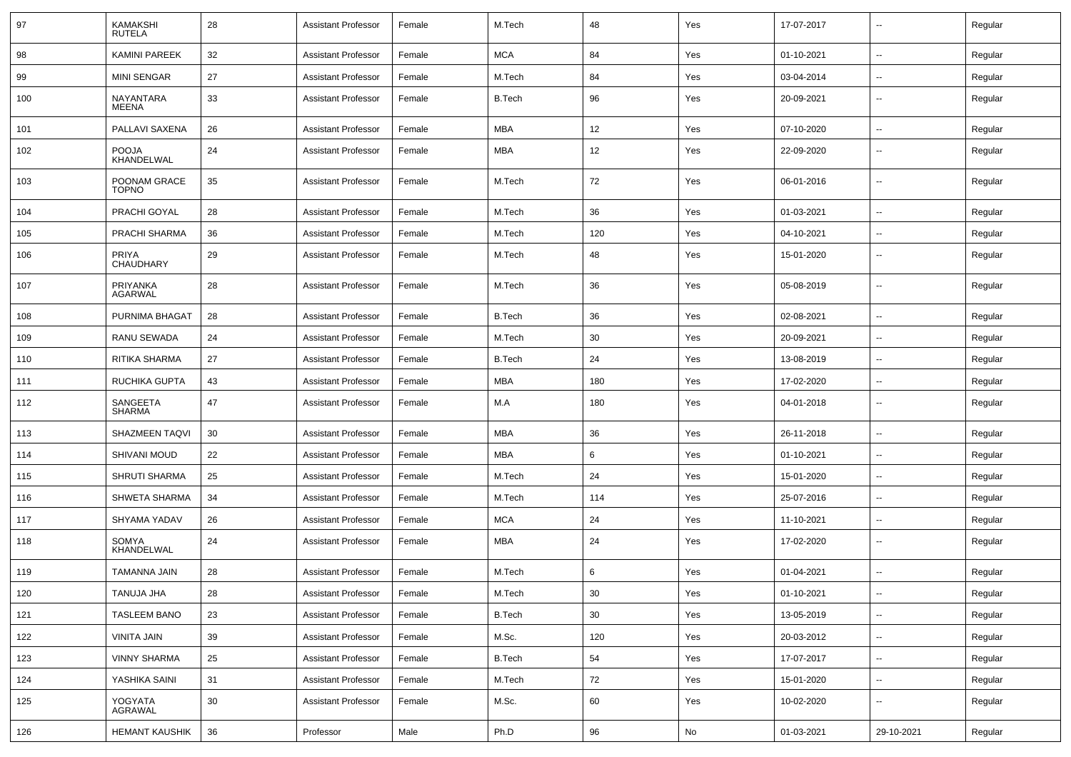| 97  | <b>KAMAKSHI</b><br><b>RUTELA</b> | 28 | <b>Assistant Professor</b> | Female | M.Tech        | 48  | Yes | 17-07-2017 | --                       | Regular |
|-----|----------------------------------|----|----------------------------|--------|---------------|-----|-----|------------|--------------------------|---------|
| 98  | <b>KAMINI PAREEK</b>             | 32 | <b>Assistant Professor</b> | Female | <b>MCA</b>    | 84  | Yes | 01-10-2021 | --                       | Regular |
| 99  | <b>MINI SENGAR</b>               | 27 | <b>Assistant Professor</b> | Female | M.Tech        | 84  | Yes | 03-04-2014 | н.                       | Regular |
| 100 | NAYANTARA<br><b>MEENA</b>        | 33 | <b>Assistant Professor</b> | Female | <b>B.Tech</b> | 96  | Yes | 20-09-2021 | --                       | Regular |
| 101 | PALLAVI SAXENA                   | 26 | <b>Assistant Professor</b> | Female | <b>MBA</b>    | 12  | Yes | 07-10-2020 | $\overline{\phantom{a}}$ | Regular |
| 102 | <b>POOJA</b><br>KHANDELWAL       | 24 | <b>Assistant Professor</b> | Female | <b>MBA</b>    | 12  | Yes | 22-09-2020 | --                       | Regular |
| 103 | POONAM GRACE<br><b>TOPNO</b>     | 35 | <b>Assistant Professor</b> | Female | M.Tech        | 72  | Yes | 06-01-2016 | --                       | Regular |
| 104 | PRACHI GOYAL                     | 28 | <b>Assistant Professor</b> | Female | M.Tech        | 36  | Yes | 01-03-2021 | --                       | Regular |
| 105 | PRACHI SHARMA                    | 36 | <b>Assistant Professor</b> | Female | M.Tech        | 120 | Yes | 04-10-2021 |                          | Regular |
| 106 | <b>PRIYA</b><br>CHAUDHARY        | 29 | <b>Assistant Professor</b> | Female | M.Tech        | 48  | Yes | 15-01-2020 | $\overline{\phantom{a}}$ | Regular |
| 107 | PRIYANKA<br><b>AGARWAL</b>       | 28 | <b>Assistant Professor</b> | Female | M.Tech        | 36  | Yes | 05-08-2019 | $\overline{\phantom{a}}$ | Regular |
| 108 | PURNIMA BHAGAT                   | 28 | <b>Assistant Professor</b> | Female | <b>B.Tech</b> | 36  | Yes | 02-08-2021 | $\overline{\phantom{a}}$ | Regular |
| 109 | <b>RANU SEWADA</b>               | 24 | <b>Assistant Professor</b> | Female | M.Tech        | 30  | Yes | 20-09-2021 | --                       | Regular |
| 110 | RITIKA SHARMA                    | 27 | <b>Assistant Professor</b> | Female | <b>B.Tech</b> | 24  | Yes | 13-08-2019 | --                       | Regular |
| 111 | <b>RUCHIKA GUPTA</b>             | 43 | <b>Assistant Professor</b> | Female | MBA           | 180 | Yes | 17-02-2020 | $\overline{\phantom{a}}$ | Regular |
| 112 | SANGEETA<br><b>SHARMA</b>        | 47 | <b>Assistant Professor</b> | Female | M.A           | 180 | Yes | 04-01-2018 | --                       | Regular |
| 113 | <b>SHAZMEEN TAQVI</b>            | 30 | <b>Assistant Professor</b> | Female | MBA           | 36  | Yes | 26-11-2018 | $\overline{\phantom{a}}$ | Regular |
| 114 | SHIVANI MOUD                     | 22 | <b>Assistant Professor</b> | Female | <b>MBA</b>    | 6   | Yes | 01-10-2021 |                          | Regular |
| 115 | <b>SHRUTI SHARMA</b>             | 25 | <b>Assistant Professor</b> | Female | M.Tech        | 24  | Yes | 15-01-2020 | $\overline{\phantom{a}}$ | Regular |
| 116 | <b>SHWETA SHARMA</b>             | 34 | <b>Assistant Professor</b> | Female | M.Tech        | 114 | Yes | 25-07-2016 | $\overline{\phantom{a}}$ | Regular |
| 117 | SHYAMA YADAV                     | 26 | <b>Assistant Professor</b> | Female | <b>MCA</b>    | 24  | Yes | 11-10-2021 | н.                       | Regular |
| 118 | SOMYA<br>KHANDELWAL              | 24 | <b>Assistant Professor</b> | Female | MBA           | 24  | Yes | 17-02-2020 | -−                       | Regular |
| 119 | TAMANNA JAIN                     | 28 | <b>Assistant Professor</b> | Female | M.Tech        | 6   | Yes | 01-04-2021 |                          | Regular |
| 120 | TANUJA JHA                       | 28 | <b>Assistant Professor</b> | Female | M.Tech        | 30  | Yes | 01-10-2021 | Щ,                       | Regular |
| 121 | <b>TASLEEM BANO</b>              | 23 | <b>Assistant Professor</b> | Female | <b>B.Tech</b> | 30  | Yes | 13-05-2019 | н.                       | Regular |
| 122 | VINITA JAIN                      | 39 | <b>Assistant Professor</b> | Female | M.Sc.         | 120 | Yes | 20-03-2012 | $\overline{\phantom{a}}$ | Regular |
| 123 | <b>VINNY SHARMA</b>              | 25 | <b>Assistant Professor</b> | Female | <b>B.Tech</b> | 54  | Yes | 17-07-2017 | $\overline{\phantom{a}}$ | Regular |
| 124 | YASHIKA SAINI                    | 31 | <b>Assistant Professor</b> | Female | M.Tech        | 72  | Yes | 15-01-2020 | $\sim$                   | Regular |
| 125 | YOGYATA<br>AGRAWAL               | 30 | <b>Assistant Professor</b> | Female | M.Sc.         | 60  | Yes | 10-02-2020 | $\sim$                   | Regular |
| 126 | <b>HEMANT KAUSHIK</b>            | 36 | Professor                  | Male   | Ph.D          | 96  | No  | 01-03-2021 | 29-10-2021               | Regular |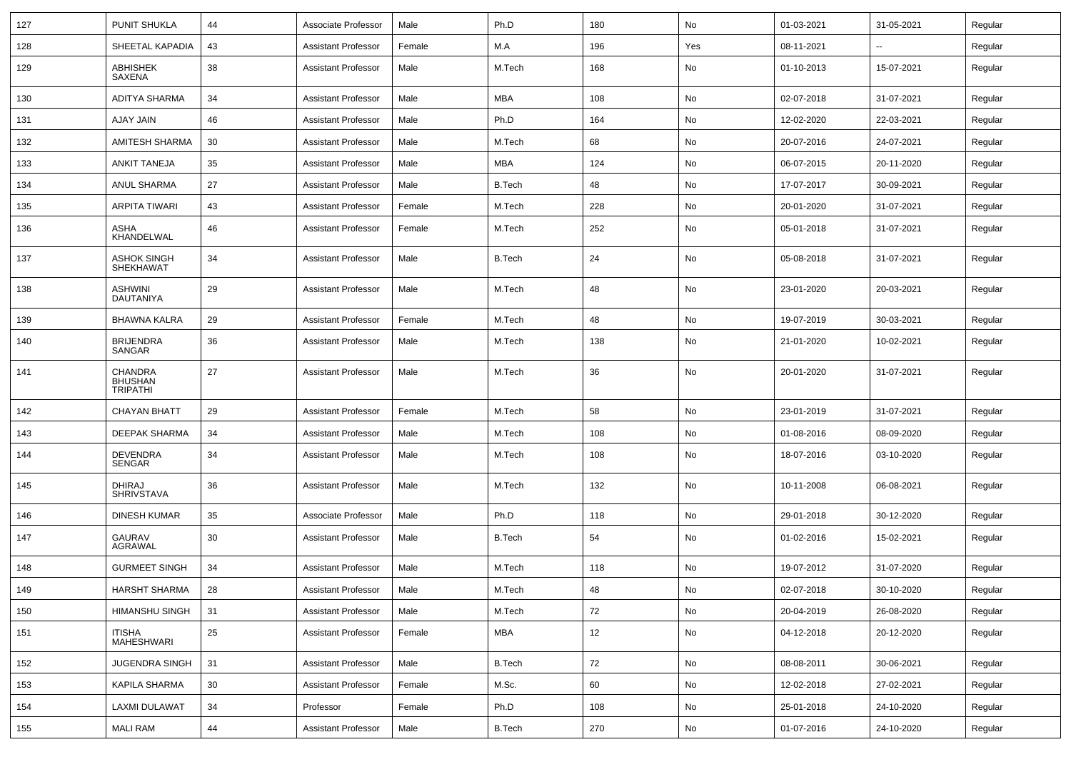| 127 | <b>PUNIT SHUKLA</b>                                 | 44 | Associate Professor        | Male   | Ph.D          | 180 | No  | 01-03-2021 | 31-05-2021 | Regular |
|-----|-----------------------------------------------------|----|----------------------------|--------|---------------|-----|-----|------------|------------|---------|
| 128 | SHEETAL KAPADIA                                     | 43 | <b>Assistant Professor</b> | Female | M.A           | 196 | Yes | 08-11-2021 | --         | Regular |
| 129 | <b>ABHISHEK</b><br>SAXENA                           | 38 | <b>Assistant Professor</b> | Male   | M.Tech        | 168 | No  | 01-10-2013 | 15-07-2021 | Regular |
| 130 | ADITYA SHARMA                                       | 34 | <b>Assistant Professor</b> | Male   | <b>MBA</b>    | 108 | No  | 02-07-2018 | 31-07-2021 | Regular |
| 131 | AJAY JAIN                                           | 46 | <b>Assistant Professor</b> | Male   | Ph.D          | 164 | No  | 12-02-2020 | 22-03-2021 | Regular |
| 132 | AMITESH SHARMA                                      | 30 | <b>Assistant Professor</b> | Male   | M.Tech        | 68  | No  | 20-07-2016 | 24-07-2021 | Regular |
| 133 | <b>ANKIT TANEJA</b>                                 | 35 | <b>Assistant Professor</b> | Male   | <b>MBA</b>    | 124 | No  | 06-07-2015 | 20-11-2020 | Regular |
| 134 | ANUL SHARMA                                         | 27 | <b>Assistant Professor</b> | Male   | B.Tech        | 48  | No  | 17-07-2017 | 30-09-2021 | Regular |
| 135 | ARPITA TIWARI                                       | 43 | <b>Assistant Professor</b> | Female | M.Tech        | 228 | No  | 20-01-2020 | 31-07-2021 | Regular |
| 136 | ASHA<br>KHANDELWAL                                  | 46 | <b>Assistant Professor</b> | Female | M.Tech        | 252 | No  | 05-01-2018 | 31-07-2021 | Regular |
| 137 | <b>ASHOK SINGH</b><br><b>SHEKHAWAT</b>              | 34 | <b>Assistant Professor</b> | Male   | <b>B.Tech</b> | 24  | No  | 05-08-2018 | 31-07-2021 | Regular |
| 138 | <b>ASHWINI</b><br>DAUTANIYA                         | 29 | <b>Assistant Professor</b> | Male   | M.Tech        | 48  | No  | 23-01-2020 | 20-03-2021 | Regular |
| 139 | <b>BHAWNA KALRA</b>                                 | 29 | <b>Assistant Professor</b> | Female | M.Tech        | 48  | No  | 19-07-2019 | 30-03-2021 | Regular |
| 140 | <b>BRIJENDRA</b><br>SANGAR                          | 36 | <b>Assistant Professor</b> | Male   | M.Tech        | 138 | No  | 21-01-2020 | 10-02-2021 | Regular |
| 141 | <b>CHANDRA</b><br><b>BHUSHAN</b><br><b>TRIPATHI</b> | 27 | <b>Assistant Professor</b> | Male   | M.Tech        | 36  | No  | 20-01-2020 | 31-07-2021 | Regular |
| 142 | <b>CHAYAN BHATT</b>                                 | 29 | <b>Assistant Professor</b> | Female | M.Tech        | 58  | No  | 23-01-2019 | 31-07-2021 | Regular |
| 143 | <b>DEEPAK SHARMA</b>                                | 34 | <b>Assistant Professor</b> | Male   | M.Tech        | 108 | No  | 01-08-2016 | 08-09-2020 | Regular |
| 144 | <b>DEVENDRA</b><br>SENGAR                           | 34 | <b>Assistant Professor</b> | Male   | M.Tech        | 108 | No  | 18-07-2016 | 03-10-2020 | Regular |
| 145 | <b>DHIRAJ</b><br><b>SHRIVSTAVA</b>                  | 36 | <b>Assistant Professor</b> | Male   | M.Tech        | 132 | No  | 10-11-2008 | 06-08-2021 | Regular |
| 146 | <b>DINESH KUMAR</b>                                 | 35 | Associate Professor        | Male   | Ph.D          | 118 | No  | 29-01-2018 | 30-12-2020 | Regular |
| 147 | <b>GAURAV</b><br>AGRAWAL                            | 30 | <b>Assistant Professor</b> | Male   | <b>B.Tech</b> | 54  | No  | 01-02-2016 | 15-02-2021 | Regular |
| 148 | <b>GURMEET SINGH</b>                                | 34 | <b>Assistant Professor</b> | Male   | M.Tech        | 118 | No  | 19-07-2012 | 31-07-2020 | Regular |
| 149 | HARSHT SHARMA                                       | 28 | Assistant Professor        | Male   | M.Tech        | 48  | No  | 02-07-2018 | 30-10-2020 | Regular |
| 150 | HIMANSHU SINGH                                      | 31 | <b>Assistant Professor</b> | Male   | M.Tech        | 72  | No  | 20-04-2019 | 26-08-2020 | Regular |
| 151 | ITISHA<br>MAHESHWARI                                | 25 | <b>Assistant Professor</b> | Female | MBA           | 12  | No  | 04-12-2018 | 20-12-2020 | Regular |
| 152 | <b>JUGENDRA SINGH</b>                               | 31 | <b>Assistant Professor</b> | Male   | <b>B.Tech</b> | 72  | No  | 08-08-2011 | 30-06-2021 | Regular |
| 153 | KAPILA SHARMA                                       | 30 | <b>Assistant Professor</b> | Female | M.Sc.         | 60  | No  | 12-02-2018 | 27-02-2021 | Regular |
| 154 | LAXMI DULAWAT                                       | 34 | Professor                  | Female | Ph.D          | 108 | No  | 25-01-2018 | 24-10-2020 | Regular |
| 155 | <b>MALI RAM</b>                                     | 44 | <b>Assistant Professor</b> | Male   | <b>B.Tech</b> | 270 | No  | 01-07-2016 | 24-10-2020 | Regular |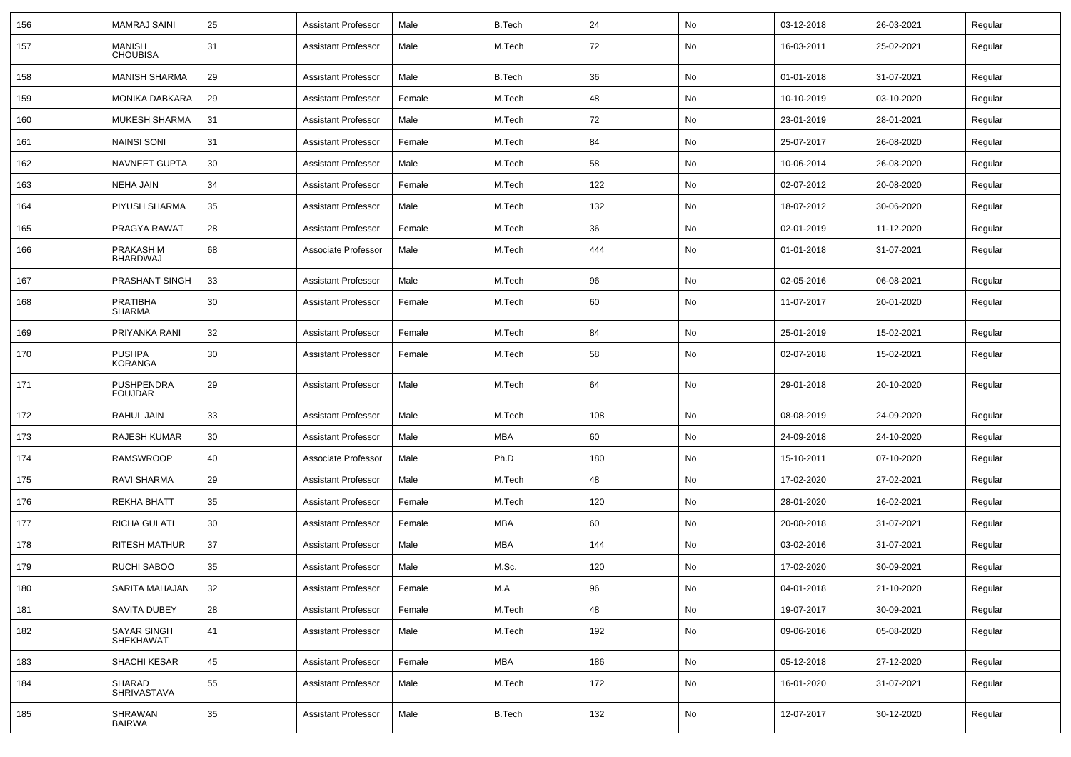| 156 | <b>MAMRAJ SAINI</b>                 | 25 | <b>Assistant Professor</b> | Male   | <b>B.Tech</b> | 24  | No            | 03-12-2018 | 26-03-2021 | Regular |
|-----|-------------------------------------|----|----------------------------|--------|---------------|-----|---------------|------------|------------|---------|
| 157 | MANISH<br><b>CHOUBISA</b>           | 31 | <b>Assistant Professor</b> | Male   | M.Tech        | 72  | No            | 16-03-2011 | 25-02-2021 | Regular |
| 158 | <b>MANISH SHARMA</b>                | 29 | <b>Assistant Professor</b> | Male   | <b>B.Tech</b> | 36  | No            | 01-01-2018 | 31-07-2021 | Regular |
| 159 | <b>MONIKA DABKARA</b>               | 29 | <b>Assistant Professor</b> | Female | M.Tech        | 48  | No            | 10-10-2019 | 03-10-2020 | Regular |
| 160 | <b>MUKESH SHARMA</b>                | 31 | <b>Assistant Professor</b> | Male   | M.Tech        | 72  | No            | 23-01-2019 | 28-01-2021 | Regular |
| 161 | <b>NAINSI SONI</b>                  | 31 | <b>Assistant Professor</b> | Female | M.Tech        | 84  | No            | 25-07-2017 | 26-08-2020 | Regular |
| 162 | NAVNEET GUPTA                       | 30 | <b>Assistant Professor</b> | Male   | M.Tech        | 58  | No            | 10-06-2014 | 26-08-2020 | Regular |
| 163 | <b>NEHA JAIN</b>                    | 34 | <b>Assistant Professor</b> | Female | M.Tech        | 122 | No            | 02-07-2012 | 20-08-2020 | Regular |
| 164 | PIYUSH SHARMA                       | 35 | <b>Assistant Professor</b> | Male   | M.Tech        | 132 | No            | 18-07-2012 | 30-06-2020 | Regular |
| 165 | PRAGYA RAWAT                        | 28 | <b>Assistant Professor</b> | Female | M.Tech        | 36  | No            | 02-01-2019 | 11-12-2020 | Regular |
| 166 | PRAKASH M<br><b>BHARDWAJ</b>        | 68 | Associate Professor        | Male   | M.Tech        | 444 | No            | 01-01-2018 | 31-07-2021 | Regular |
| 167 | PRASHANT SINGH                      | 33 | <b>Assistant Professor</b> | Male   | M.Tech        | 96  | No            | 02-05-2016 | 06-08-2021 | Regular |
| 168 | <b>PRATIBHA</b><br><b>SHARMA</b>    | 30 | <b>Assistant Professor</b> | Female | M.Tech        | 60  | No            | 11-07-2017 | 20-01-2020 | Regular |
| 169 | PRIYANKA RANI                       | 32 | <b>Assistant Professor</b> | Female | M.Tech        | 84  | No            | 25-01-2019 | 15-02-2021 | Regular |
| 170 | <b>PUSHPA</b><br><b>KORANGA</b>     | 30 | <b>Assistant Professor</b> | Female | M.Tech        | 58  | No            | 02-07-2018 | 15-02-2021 | Regular |
| 171 | <b>PUSHPENDRA</b><br><b>FOUJDAR</b> | 29 | <b>Assistant Professor</b> | Male   | M.Tech        | 64  | No            | 29-01-2018 | 20-10-2020 | Regular |
| 172 | RAHUL JAIN                          | 33 | <b>Assistant Professor</b> | Male   | M.Tech        | 108 | No            | 08-08-2019 | 24-09-2020 | Regular |
| 173 | <b>RAJESH KUMAR</b>                 | 30 | <b>Assistant Professor</b> | Male   | <b>MBA</b>    | 60  | No            | 24-09-2018 | 24-10-2020 | Regular |
| 174 | <b>RAMSWROOP</b>                    | 40 | Associate Professor        | Male   | Ph.D          | 180 | No            | 15-10-2011 | 07-10-2020 | Regular |
| 175 | RAVI SHARMA                         | 29 | <b>Assistant Professor</b> | Male   | M.Tech        | 48  | No            | 17-02-2020 | 27-02-2021 | Regular |
| 176 | REKHA BHATT                         | 35 | <b>Assistant Professor</b> | Female | M.Tech        | 120 | No            | 28-01-2020 | 16-02-2021 | Regular |
| 177 | RICHA GULATI                        | 30 | <b>Assistant Professor</b> | Female | <b>MBA</b>    | 60  | No            | 20-08-2018 | 31-07-2021 | Regular |
| 178 | <b>RITESH MATHUR</b>                | 37 | <b>Assistant Professor</b> | Male   | <b>MBA</b>    | 144 | No            | 03-02-2016 | 31-07-2021 | Regular |
| 179 | <b>RUCHI SABOO</b>                  | 35 | <b>Assistant Professor</b> | Male   | M.Sc.         | 120 | No            | 17-02-2020 | 30-09-2021 | Regular |
| 180 | SARITA MAHAJAN                      | 32 | <b>Assistant Professor</b> | Female | M.A           | 96  | No            | 04-01-2018 | 21-10-2020 | Regular |
| 181 | SAVITA DUBEY                        | 28 | Assistant Professor        | Female | M.Tech        | 48  | $\mathsf{No}$ | 19-07-2017 | 30-09-2021 | Regular |
| 182 | SAYAR SINGH<br>SHEKHAWAT            | 41 | Assistant Professor        | Male   | M.Tech        | 192 | No            | 09-06-2016 | 05-08-2020 | Regular |
| 183 | SHACHI KESAR                        | 45 | <b>Assistant Professor</b> | Female | <b>MBA</b>    | 186 | No            | 05-12-2018 | 27-12-2020 | Regular |
| 184 | SHARAD<br><b>SHRIVASTAVA</b>        | 55 | <b>Assistant Professor</b> | Male   | M.Tech        | 172 | No            | 16-01-2020 | 31-07-2021 | Regular |
| 185 | SHRAWAN<br><b>BAIRWA</b>            | 35 | <b>Assistant Professor</b> | Male   | <b>B.Tech</b> | 132 | No            | 12-07-2017 | 30-12-2020 | Regular |